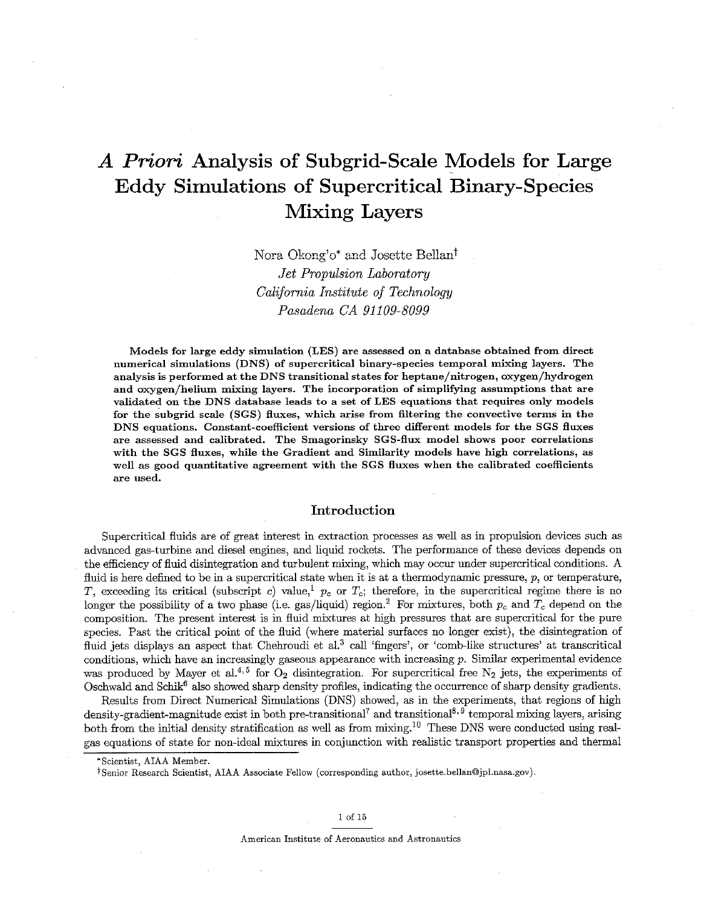# A *Priori* Analysis of Subgrid-Scale Models for Large Eddy Simulations of Supercritical Binary-Species Mixing Layers

**Nora Okong'o\* and Josette Bellan<sup>†</sup>** *Jet Propulsion Laboratory CaEifornia Institute of Technology Pasadena CA 91109-8099* 

Models for large eddy simulation (LES) are assessed on a database obtained from direct numerical simulations (DNS) of supercritical binary-species temporal mixing layers. The analysis is performed at the DNS transitional states for heptane/nitrogen, oxygen/hydrogen and oxygen/helium mixing layers. The incorporation of simplifying assumptions that are validated on the DNS database leads to a set of LES equations that requires only models for the subgrid scale (SGS) fluxes, which arise from filtering the convective terms in the DNS equations. Constant-coefficient versions of three different models for the SGS fluxes are assessed and calibrated. The Smagorinsky SGS-flux model shows poor correlations with the SGS fluxes, while the Gradient and Similarity models have high correlations, as well as good quantitative agreement with the SGS fluxes when the calibrated coefficients **are** used.

## Introduction

Supercritical fluids are of great interest in extraction processes as well as in propulsion devices such as advanced gas-turbine and diesel engines, and liquid rockets. The performance of these devices depends on the efficiency of fluid disintegration and turbulent mixing, which may occur under supercritical conditions. A fluid is bere defined to be in a supercritical state when it is at a thermodynamic pressure, *p,* or temperature, T, exceeding its critical (subscript c) value,<sup>1</sup>  $p_c$  or  $T_c$ ; therefore, in the supercritical regime there is no longer the possibility of a two phase (i.e. gas/liquid) region.<sup>2</sup> For mixtures, both  $p_c$  and  $\overline{T}_c$  depend on the composition. The present interest is in Auid mixtwes at high pressures that are supercritical for the pure species. Past the critical point of the fluid (where material surfaces no longer exist), the disintegration of fluid jets displays an aspect that Chehroudi et al.<sup>3</sup> call 'fingers', or 'comb-like structures' at transcritical conditions, which have an increasingly gaseous appearance with increasing *p.* Similar experimental evidence was produced by Mayer et al.<sup>4,5</sup> for O<sub>2</sub> disintegration. For supercritical free N<sub>2</sub> jets, the experiments of Oschwald and Schik<sup>6</sup> also showed sharp density profiles, indicating the occurrence of sharp density gradients.

Results fiom Direct Numerical Simulations (DNS) showed, as in the experiments, that regions of high density-gradient-magnitude exist in both pre-transitional<sup>7</sup> and transitional<sup>8, 9</sup> temporal mixing layers, arising both from the initial density stratification as well as from mixing.<sup>10</sup> These DNS were conducted using realgas equations of state for non-ideal mixtures in conjunction with realistic transport properties and thermal

<sup>\*</sup>Scientist, AIAA Member.

<sup>&#</sup>x27;f Senior Research Scientist, AIAA Associate Fellow (corresponding author, **josette.bellan@jpl.nasa.gov).**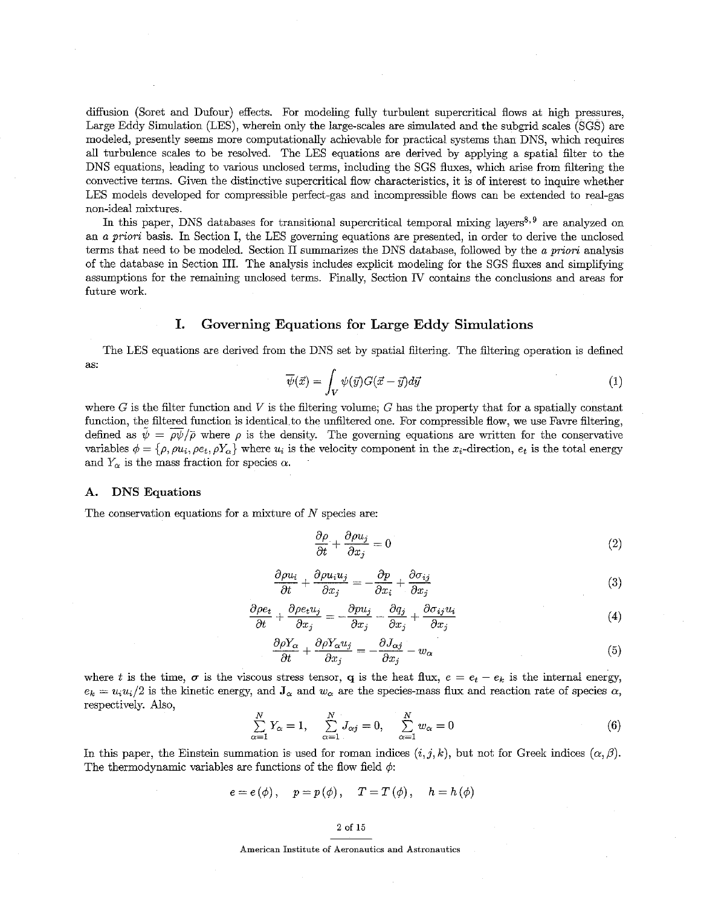diffusion (Soret and Dufour) effects. For modeling fully turbulent supercritical flows at high pressures, Large Eddy Simulation (LES), wherein only the large-scales are simulated and the subgrid scales (SGS) are modeled, presently seems more computationally achievable for practical systems than DNS, which requires all turbulence scales to be resolved. The LES equations are derived by applying a spatial filter to the DNS equations, leading to various unclosed terms, including the SGS fluxes, which arise from filtering the convective terms. Given the distinctive supercritical flow characteristics, it is of interest to inquire whether LES models developed for compressible perfect-gas and incompressible flows can be extended to real-gas non-ideal mixtures.

In this paper, DNS databases for transitional supercritical temporal mixing layers<sup>8,9</sup> are analyzed on an a *priori* basis. In Section I, the LES governing equations are presented, in order to derive the unclosed terms that need to be modeled. Section I1 summarizes the DNS database, followed by the a *priori* analysis of the database in Section 111. The analysis includes explicit modeling for the SGS fluxes and simplifying assumptions for the remaining unclosed terms. Finally, Section IV contains the conclusions and areas for future work.

## **I. Governing Equations** for **Large Eddy** Simulations

The LES equations are derived from the DNS set by spatial filtering. The filtering operation is defined as:<br> $\overline{\phi_0'(\vec{\sigma})} = \int_{\vec{\phi}} \phi(\vec{\phi}) C(\vec{\sigma} - \vec{\phi}) d\vec{\sigma}$  (1)

$$
\overline{\psi}(\vec{x}) = \int_{V} \psi(\vec{y}) G(\vec{x} - \vec{y}) d\vec{y}
$$
\n(1)

where  $G$  is the filter function and  $V$  is the filtering volume;  $G$  has the property that for a spatially constant function, the filtered function is identical to the unfiltered one. For compressible flow, we use Favre filtering, defined as  $\tilde{\psi} = \overline{\rho \psi}/\overline{\rho}$  where  $\rho$  is the density. The governing equations are written for the conservative variables  $\phi = {\rho, \rho u_i, \rho e_t, \rho Y_{\alpha}}$  where  $u_i$  is the velocity component in the  $x_i$ -direction,  $e_t$  is the total energy and  $Y_{\alpha}$  is the mass fraction for species  $\alpha$ .

## **A.** DNS **Equations**

The conservation equations for a mixture of  $N$  species are:

$$
\frac{\partial \rho}{\partial t} + \frac{\partial \rho u_j}{\partial x_j} = 0 \tag{2}
$$

$$
\frac{\partial \rho u_i}{\partial t} + \frac{\partial \rho u_i u_j}{\partial x_j} = -\frac{\partial p}{\partial x_i} + \frac{\partial \sigma_{ij}}{\partial x_j} \tag{3}
$$

$$
\frac{\partial \rho e_t}{\partial t} + \frac{\partial \rho e_t u_j}{\partial x_i} = -\frac{\partial p u_j}{\partial x_i} - \frac{\partial q_j}{\partial x_i} + \frac{\partial \sigma_{ij} u_i}{\partial x_i} \tag{4}
$$

$$
\frac{\partial \rho Y_{\alpha}}{\partial t} + \frac{\partial \rho Y_{\alpha} u_j}{\partial x_j} = -\frac{\partial J_{\alpha j}}{\partial x_j} - w_{\alpha} \tag{5}
$$

where *t* is the time,  $\sigma$  is the viscous stress tensor, q is the heat flux,  $e = e_t - e_k$  is the internal energy,  $e_k = u_i u_i/2$  is the kinetic energy, and  $J_\alpha$  and  $w_\alpha$  are the species-mass flux and reaction rate of species  $\alpha$ , respectively. Also,

$$
\sum_{\alpha=1}^{N} Y_{\alpha} = 1, \quad \sum_{\alpha=1}^{N} J_{\alpha j} = 0, \quad \sum_{\alpha=1}^{N} w_{\alpha} = 0 \tag{6}
$$

In this paper, the Einstein summation is used for roman indices  $(i, j, k)$ , but not for Greek indices  $(\alpha, \beta)$ . The thermodynamic variables are functions of the flow field  $\phi$ :

$$
e = e(\phi), \quad p = p(\phi), \quad T = T(\phi), \quad h = h(\phi)
$$

#### 2 of 15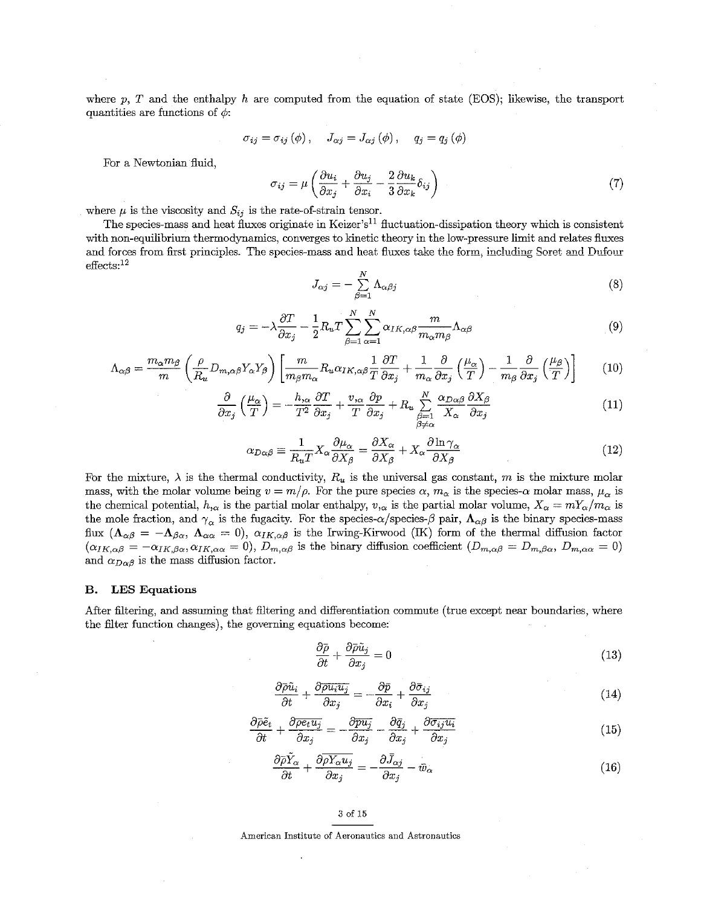where p, T and the enthalpy h are computed from the equation of state (EOS); likewise, the transport quantities are functions of  $\phi$ :

$$
\sigma_{ij} = \sigma_{ij} (\phi), \quad J_{\alpha j} = J_{\alpha j} (\phi), \quad q_j = q_j (\phi)
$$

For a Newtonian fluid.

$$
\sigma_{ij} = \mu \left( \frac{\partial u_i}{\partial x_j} + \frac{\partial u_j}{\partial x_i} - \frac{2}{3} \frac{\partial u_k}{\partial x_k} \delta_{ij} \right) \tag{7}
$$

where  $\mu$  is the viscosity and  $S_{ij}$  is the rate-of-strain tensor.

The species-mass and heat fluxes originate in Keizer's<sup>11</sup> fluctuation-dissipation theory which is consistent with non-equilibrium thermodynamics, converges to kinetic theory in the low-pressure limit and relates fluxes and forces from first principles. The species-mass and heat fluxes take the form, including Soret and Dufour  $effects:<sup>12</sup>$ 

$$
J_{\alpha j} = -\sum_{\beta=1}^{N} \Lambda_{\alpha \beta j} \tag{8}
$$

$$
q_j = -\lambda \frac{\partial T}{\partial x_j} - \frac{1}{2} R_u T \sum_{\beta=1}^N \sum_{\alpha=1}^N \alpha_{IK,\alpha\beta} \frac{m}{m_\alpha m_\beta} \Lambda_{\alpha\beta} \tag{9}
$$

$$
\Lambda_{\alpha\beta} = \frac{m_{\alpha}m_{\beta}}{m} \left( \frac{\rho}{R_u} D_{m,\alpha\beta} Y_{\alpha} Y_{\beta} \right) \left[ \frac{m}{m_{\beta}m_{\alpha}} R_u \alpha_{IK,\alpha\beta} \frac{1}{T} \frac{\partial T}{\partial x_j} + \frac{1}{m_{\alpha}} \frac{\partial}{\partial x_j} \left( \frac{\mu_{\alpha}}{T} \right) - \frac{1}{m_{\beta}} \frac{\partial}{\partial x_j} \left( \frac{\mu_{\beta}}{T} \right) \right] \tag{10}
$$

$$
\frac{\partial}{\partial x_j} \left( \frac{\mu_\alpha}{T} \right) = -\frac{h_{,\alpha}}{T^2} \frac{\partial T}{\partial x_j} + \frac{v_{,\alpha}}{T} \frac{\partial p}{\partial x_j} + R_u \sum_{\substack{\beta=1 \\ \beta \neq \alpha}}^N \frac{\alpha_{D\alpha\beta}}{X_\alpha} \frac{\partial X_\beta}{\partial x_j}
$$
(11)

$$
\alpha_{D\alpha\beta} \equiv \frac{1}{R_u T} X_{\alpha} \frac{\partial \mu_{\alpha}}{\partial X_{\beta}} = \frac{\partial X_{\alpha}}{\partial X_{\beta}} + X_{\alpha} \frac{\partial \ln \gamma_{\alpha}}{\partial X_{\beta}}
$$
(12)

For the mixture,  $\lambda$  is the thermal conductivity,  $R_u$  is the universal gas constant, m is the mixture molar mass, with the molar volume being  $v = m/\rho$ . For the pure species  $\alpha$ ,  $m_\alpha$  is the species- $\alpha$  molar mass,  $\mu_\alpha$  is the chemical potential,  $h_{,\alpha}$  is the partial molar enthalpy,  $v_{,\alpha}$  is the partial molar volume,  $X_{\alpha} = mY_{\alpha}/m_{\alpha}$  is the mole fraction, and  $\gamma_\alpha$  is the fugacity. For the species- $\alpha$ /species- $\beta$  pair,  $\Lambda_{\alpha\beta}$  is the binary species-mass flux  $(\Lambda_{\alpha\beta} = -\Lambda_{\beta\alpha}, \Lambda_{\alpha\alpha} = 0)$ ,  $\alpha_{IK,\alpha\beta}$  is the Irwing-Kirwood (IK) form of the thermal diffusion factor  $(\alpha_{IK,\alpha\beta} = -\alpha_{IK,\beta\alpha}, \alpha_{IK,\alpha\alpha} = 0), D_{m,\alpha\beta}$  is the binary diffusion coefficient  $(D_{m,\alpha\beta} = D_{m,\beta\alpha}, D_{m,\alpha\alpha} = 0)$ and  $\alpha_{D\alpha\beta}$  is the mass diffusion factor.

#### **B. LES Equations**

After filtering, and assuming that filtering and differentiation commute (true except near boundaries, where the filter function changes), the governing equations become:

$$
\frac{\partial \bar{\rho}}{\partial t} + \frac{\partial \bar{\rho} \tilde{u}_j}{\partial x_j} = 0 \tag{13}
$$

$$
\frac{\partial \bar{\rho}\tilde{u}_i}{\partial t} + \frac{\partial \bar{\rho}\tilde{u}_i \tilde{u}_j}{\partial x_j} = -\frac{\partial \bar{p}}{\partial x_i} + \frac{\partial \bar{\sigma}_{ij}}{\partial x_j} \tag{14}
$$

$$
\frac{\partial \bar{\rho}\tilde{u}_i}{\partial t} + \frac{\partial \bar{\rho}u_i u_j}{\partial x_j} = -\frac{\partial \bar{p}}{\partial x_i} + \frac{\partial \bar{\sigma}_{ij}}{\partial x_j}
$$
\n
$$
\frac{\partial \bar{\rho}\tilde{e}_t}{\partial t} + \frac{\partial \bar{\rho}e_t u_j}{\partial x_j} = -\frac{\partial \bar{p}u_j}{\partial x_j} - \frac{\partial \bar{q}_j}{\partial x_j} + \frac{\partial \bar{\sigma}_{ij}u_i}{\partial x_j}
$$
\n(15)

$$
\frac{\partial \bar{\rho} \tilde{Y}_{\alpha}}{\partial t} + \frac{\partial \bar{\rho} \overline{Y_{\alpha} u_j}}{\partial x_j} = -\frac{\partial \bar{J}_{\alpha j}}{\partial x_j} - \bar{w}_{\alpha} \tag{16}
$$

#### 3 of 15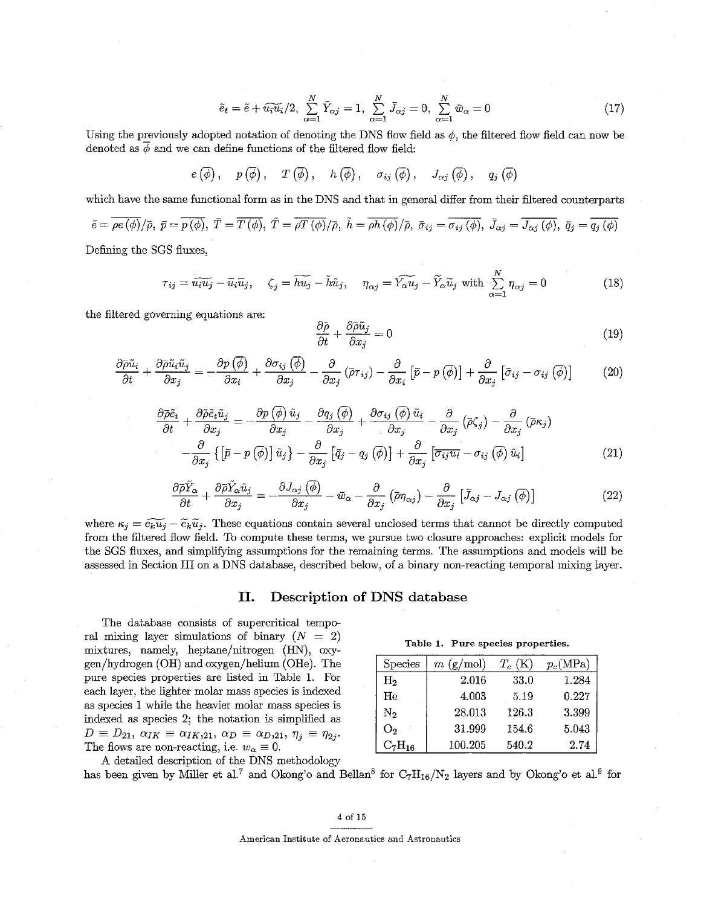$$
\tilde{e}_t = \tilde{e} + \tilde{u}_t \tilde{u}_t/2, \ \sum_{\alpha=1}^N \tilde{Y}_{\alpha j} = 1, \ \sum_{\alpha=1}^N \bar{J}_{\alpha j} = 0, \ \sum_{\alpha=1}^N \bar{w}_{\alpha} = 0 \tag{17}
$$

Using the previously adopted notation of denoting the DNS flow field as  $\phi$ , the filtered flow field can now be denoted as  $\phi$  and we can define functions of the filtered flow field:

$$
e(\overline{\phi})
$$
,  $p(\overline{\phi})$ ,  $T(\overline{\phi})$ ,  $h(\overline{\phi})$ ,  $\sigma_{ij}(\overline{\phi})$ ,  $J_{\alpha j}(\overline{\phi})$ ,  $q_j(\overline{\phi})$ 

which have the same functional form as in the DNS and that in general differ from their filtered counterparts

$$
\tilde{e} = \overline{\rho e(\phi)}/\overline{\rho}, \ \bar{p} = \overline{p(\phi)}, \ \bar{T} = \overline{T(\phi)}, \ \tilde{T} = \overline{\rho T(\phi)}/\overline{\rho}, \ \tilde{h} = \overline{\rho h(\phi)}/\overline{\rho}, \ \bar{\sigma}_{ij} = \overline{\sigma_{ij}(\phi)}, \ \bar{J}_{\alpha j} = \overline{J_{\alpha j}(\phi)}, \ \bar{q}_j = \overline{q_j(\phi)}
$$

Defining the SGS fluxes,

$$
\tau_{ij} = \widetilde{u_i u_j} - \widetilde{u}_i \widetilde{u}_j, \quad \zeta_j = \widetilde{h u_j} - \widetilde{h} \widetilde{u}_j, \quad \eta_{\alpha j} = \widetilde{Y_{\alpha} u_j} - \widetilde{Y_{\alpha}} \widetilde{u}_j \text{ with } \sum_{\alpha=1}^N \eta_{\alpha j} = 0 \tag{18}
$$

the filtered governing equations are:

$$
\frac{\partial \overline{\rho}}{\partial t} + \frac{\partial \overline{\rho} \tilde{u}_j}{\partial x_j} = 0 \tag{19}
$$

$$
\frac{\partial \bar{\rho} \tilde{u}_i}{\partial t} + \frac{\partial \bar{\rho} \tilde{u}_i \tilde{u}_j}{\partial x_j} = -\frac{\partial p(\bar{\phi})}{\partial x_i} + \frac{\partial \sigma_{ij}(\bar{\phi})}{\partial x_j} - \frac{\partial}{\partial x_j} (\bar{\rho} \tau_{ij}) - \frac{\partial}{\partial x_i} [\bar{p} - p(\bar{\phi})] + \frac{\partial}{\partial x_j} [\bar{\sigma}_{ij} - \sigma_{ij}(\bar{\phi})] \tag{20}
$$

$$
\frac{\partial \bar{\rho} \tilde{e}_{t}}{\partial t} + \frac{\partial \tilde{\rho} \tilde{e}_{t} \tilde{u}_{j}}{\partial x_{j}} = -\frac{\partial p(\bar{\phi}) \tilde{u}_{j}}{\partial x_{j}} - \frac{\partial q_{j}(\bar{\phi})}{\partial x_{j}} + \frac{\partial \sigma_{ij}(\bar{\phi}) \tilde{u}_{i}}{\partial x_{j}} - \frac{\partial}{\partial x_{j}} (\bar{\rho} \zeta_{j}) - \frac{\partial}{\partial x_{j}} (\bar{\rho} \kappa_{j})
$$

$$
-\frac{\partial}{\partial x_{j}} \left\{ \left[ \bar{p} - p(\bar{\phi}) \right] \tilde{u}_{j} \right\} - \frac{\partial}{\partial x_{j}} \left[ \bar{q}_{j} - q_{j}(\bar{\phi}) \right] + \frac{\partial}{\partial x_{j}} \left[ \overline{\sigma_{ij} u_{i}} - \sigma_{ij}(\bar{\phi}) \tilde{u}_{i} \right] \tag{21}
$$

$$
\frac{\partial \bar{\rho} Y_{\alpha}}{\partial t} + \frac{\partial \bar{\rho} Y_{\alpha} \tilde{u}_{j}}{\partial x_{j}} = -\frac{\partial J_{\alpha j}(\phi)}{\partial x_{j}} - \bar{w}_{\alpha} - \frac{\partial}{\partial x_{j}} (\bar{\rho} \eta_{\alpha j}) - \frac{\partial}{\partial x_{j}} [\bar{J}_{\alpha j} - J_{\alpha j}(\bar{\phi})]
$$
(22)

where  $\kappa_i = \widetilde{e_k u_i} - \widetilde{e}_k \widetilde{u}_i$ . These equations contain several unclosed terms that cannot be directly computed from the filtered flow field. To compute these terms, we pursue two closure approaches: explicit models for the SGS fluxes, and simplifying assumptions for the remaining terms. The assumptions and models will be assessed in Section 111 on a DNS database, described below, of a binary non-reacting temporal mixing layer.

## **11. Description of DNS database**

The database consists of supercritical temporal mixing layer simulations of binary  $(N = 2)$ mixtures, namely, heptane/nitrogen (HN), oxygen/hydrogen (OH) and oxygen/helium (OHe). The pure species properties are listed in Table 1. For each layer, the lighter molar mass species is indexed as species 1 while the heavier molar mass species is indexed as species **2;** the notation **is** simplified as  $D \equiv D_{21}, \ \alpha_{IK} \equiv \alpha_{IK,21}, \ \alpha_D \equiv \alpha_{D,21}, \ \eta_i \equiv \eta_{2i}.$ The flows are non-reacting, i.e.  $w_{\alpha} \equiv 0$ . **A** detailed description of the DNS methodology

**Table 1. Pure species properties.** 

| <b>Species</b> | $m\ (g/mol)$ | $T_c$ (K) | $p_c(MPa)$ |
|----------------|--------------|-----------|------------|
| $\rm{H}_{2}$   | 2.016        | 33.0      | 1.284      |
| He             | 4.003        | 5.19      | 0.227      |
| N2             | 28.013       | 126.3     | 3.399      |
| O2             | 31.999       | 154.6     | 5.043      |
| $C_7H_{16}$    | 100.205      | 540.2     | 2.74       |

has been given by Miller et al.<sup>7</sup> and Okong'o and Bellan<sup>8</sup> for  $C_7H_{16}/N_2$  layers and by Okong'o et al.<sup>9</sup> for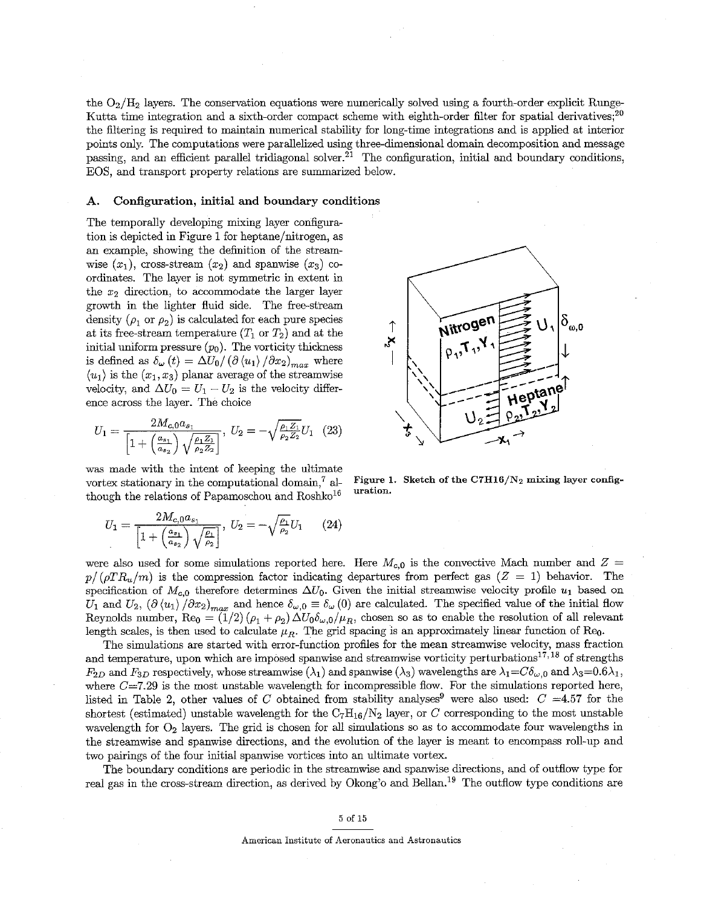the  $O<sub>2</sub>/H<sub>2</sub>$  layers. The conservation equations were numerically solved using a fourth-order explicit Runge-Kutta time integration and a sixth-order compact scheme with eighth-order filter for spatial derivatives;<sup>20</sup> the iiltering is required to maintain numerical stability for long-time integrations and is applied at interior points only. The computations were paraLlelized using three-dimensional domain decomposition and message passing, and an efficient parallel tridiagonal solver.<sup>21</sup> The configuration, initial and boundary conditions, EOS, and transport property relations are summarized below.

#### **A. Configuration, initial and boundary conditions**

The temporally developing mixing layer configuration is depicted in Figure 1 for heptane/nitrogen, as an example, showing the definition of the streamwise  $(x_1)$ , cross-stream  $(x_2)$  and spanwise  $(x_3)$  coordinates. The layer is not symmetric in extent in the  $x_2$  direction, to accommodate the larger layer growth in the lighter fluid side. The free-stream density  $(\rho_1$  or  $\rho_2)$  is calculated for each pure species at its free-stream temperature  $(T_1 \text{ or } T_2)$  and at the initial uniform pressure  $(p_0)$ . The vorticity thickness is defined as  $\delta_{\omega}(t) = \Delta U_0 / (\partial \langle u_1 \rangle / \partial x_2)_{max}$  where  $\langle u_1 \rangle$  is the  $(x_1, x_3)$  planar average of the streamwise velocity, and  $\Delta U_0 = U_1 - U_2$  is the velocity difference across the layer. The choice

$$
U_1 = \frac{2M_{c,0}a_{s_1}}{\left[1 + \left(\frac{a_{s_1}}{a_{s_2}}\right)\sqrt{\frac{\rho_1 Z_1}{\rho_2 Z_2}}\right]}, \ U_2 = -\sqrt{\frac{\rho_1 Z_1}{\rho_2 Z_2}}U_1 \quad (23)
$$

was made with the intent of keeping the ultimate though the relations of Papamoschou and Roshko<sup>16</sup>

$$
U_1 = \frac{2M_{c,0}a_{s_1}}{\left[1 + \left(\frac{a_{s_1}}{a_{s_2}}\right)\sqrt{\frac{\rho_1}{\rho_2}}\right]}, \ U_2 = -\sqrt{\frac{\rho_1}{\rho_2}}U_1 \qquad (24)
$$



vortex stationary in the computational domain,<sup>7</sup> al-<br>**Figure 1.** Sketch of the C7H16/ $N_2$  mixing layer config-<br>the unlation of Denomination and Depth=16 uration.

were also used for some simulations reported here. Here  $M_{c,0}$  is the convective Mach number and  $Z =$  $p/(\rho T R_u/m)$  is the compression factor indicating departures from perfect gas (Z = 1) behavior. The specification of  $M_{c,0}$  therefore determines  $\Delta U_0$ . Given the initial streamwise velocity profile  $u_1$  based on  $U_1$  and  $U_2$ ,  $(\partial \langle u_1 \rangle / \partial x_2)_{max}$  and hence  $\delta_{\omega,0} \equiv \delta_{\omega}(0)$  are calculated. The specified value of the initial flow Reynolds number,  $\text{Re}_0 = (1/2) (\rho_1 + \rho_2) \Delta U_0 \delta_{\omega,0}/\mu_R$ , chosen so as to enable the resolution of all relevant length scales, is then used to calculate  $\mu_R$ . The grid spacing is an approximately linear function of Re<sub>0</sub>.

The simulations are started with error-function profiles for the mean streamwise velocity, mass fraction and temperature, upon which are imposed spanwise and streamwise vorticity perturbations17, **l8** of strengths  $F_{2D}$  and  $F_{3D}$  respectively, whose streamwise  $(\lambda_1)$  and spanwise  $(\lambda_3)$  wavelengths are  $\lambda_1 = C\delta_{\omega,0}$  and  $\lambda_3 = 0.6\lambda_1$ , where  $C=7.29$  is the most unstable wavelength for incompressible flow. For the simulations reported here, listed in Table 2, other values of *C* obtained from stability analyses<sup>9</sup> were also used:  $C = 4.57$  for the shortest (estimated) unstable wavelength for the  $C_7H_{16}/N_2$  layer, or *C* corresponding to the most unstable wavelength for  $O_2$  layers. The grid is chosen for all simulations so as to accommodate four wavelengths in the streamwise and spanwise directions, and the evolution of the layer is meant to encompass roll-up and two pairings of the four initial spanwise vortices into an ultimate vortex.

The boundary conditions are periodic in the streamwise and spanwise directions, and of outflow type for real gas in the cross-stream direction, as derived by Okong'o and Bellan.<sup>19</sup> The outflow type conditions are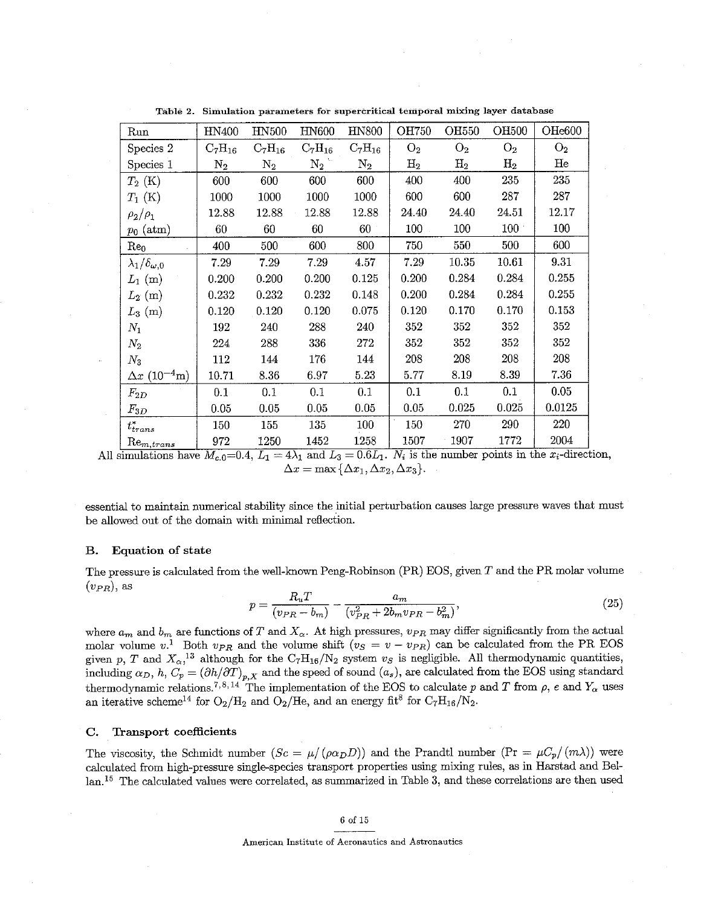| Run                             | HN400            | HN500       | <b>HN600</b>     | <b>HN800</b> | <b>OH750</b>   | <b>OH550</b>   | <b>OH500</b>   | OHe600         |
|---------------------------------|------------------|-------------|------------------|--------------|----------------|----------------|----------------|----------------|
| Species 2                       | $\rm{C_7H_{16}}$ | $C_7H_{16}$ | $\rm{C_7H_{16}}$ | $C_7H_{16}$  | O <sub>2</sub> | O <sub>2</sub> | O <sub>2</sub> | O <sub>2</sub> |
| Species 1                       | $\mathrm{N}_2$   | $\rm N_2$   | $N_2$            | $\rm N_2$    | $\rm{H}_{2}$   | $\rm{H}_{2}$   | $\rm{H}_{2}$   | He             |
| $T_{2}~(\mathrm{K})$            | 600              | 600         | 600              | 600          | 400            | 400            | 235            | 235            |
| $T_1$ (K)                       | 1000             | 1000        | 1000             | 1000         | 600            | 600            | 287            | 287            |
| $\rho_2/\rho_1$                 | 12.88            | 12.88       | 12.88            | 12.88        | 24.40          | 24.40          | 24.51          | 12.17          |
| $p_0$ (atm)                     | 60               | 60          | 60               | 60           | 100            | 100            | 100            | 100            |
| $Re_0$                          | 400              | 500         | 600              | 800          | 750            | 550            | 500            | 600            |
| $\lambda_1/\delta_{\omega,0}$   | 7.29             | 7.29        | 7.29             | 4.57         | 7.29           | $10.35\,$      | 10.61          | 9.31           |
| $L_1$ (m)                       | 0.200            | 0.200       | 0.200            | 0.125        | 0.200          | 0.284          | 0.284          | 0.255          |
| $L_2\ (\mathrm{m})$             | 0.232            | 0.232       | 0.232            | 0.148        | 0.200          | 0.284          | 0.284          | 0.255          |
| $L_3$ (m)                       | 0.120            | 0.120       | 0.120            | 0.075        | 0.120          | 0.170          | 0.170          | 0.153          |
| $N_1$                           | 192              | 240         | 288              | 240          | 352            | 352            | 352            | 352            |
| $N_{2}$                         | 224              | 288         | 336              | 272          | 352            | 352            | 352            | 352            |
| $\scriptstyle N_3$              | 112              | 144         | 176              | 144          | 208            | 208            | 208            | 208            |
| $\Delta x$ (10 <sup>-4</sup> m) | 10.71            | 8.36        | 6.97             | 5.23         | 5.77           | 8.19           | 8.39           | 7.36           |
| $F_{2D}$                        | 0.1              | 0.1         | 0.1              | 0.1          | 0.1            | 0.1            | 0.1            | 0.05           |
| $F_{3D}$                        | 0.05             | 0.05        | 0.05             | 0.05         | 0.05           | 0.025          | 0.025          | 0.0125         |
| $t_{trans}^{\ast}$              | 150              | 155         | 135              | 100          | 150            | 270            | 290            | 220            |
| $Re_{m,trans}$                  | 972              | 1250        | 1452             | 1258         | 1507           | 1907           | 1772           | 2004           |

**Table 2. Simulation parameters for supercritical temporal mixing layer database** 

All simulations have  $M_{c,0} = 0.4$ ,  $L_1 = 4\lambda_1$  and  $L_3 = 0.6L_1$ .  $N_i$  is the number points in the  $x_i$ -direct  $\Delta x = \max \{ \Delta x_1, \Delta x_2, \Delta x_3 \}.$ 

essential to maintain. numerical stability since the initial perturbation causes large pressure waves that must be allowed out of the domain with minimal reflection.

## **B.** Equation of state

The pressure is calculated from the well-known Peng-Robinson (PR) EOS, given T and the PR molar volume  $(v_{PR})$ , as

$$
p = \frac{R_u T}{(v_{PR} - b_m)} - \frac{a_m}{(v_{PR}^2 + 2b_m v_{PR} - b_m^2)},
$$
\n(25)

where  $a_m$  and  $b_m$  are functions of *T* and  $X_\alpha$ . At high pressures,  $v_{PR}$  may differ significantly from the actual molar volume  $v^{1}$  Both  $v_{PR}$  and the volume shift  $(v_S = v - v_{PR})$  can be calculated from the PR EOS given p, T and  $X_{\alpha}$ ,<sup>13</sup> although for the C<sub>7</sub>H<sub>16</sub>/N<sub>2</sub> system  $v_S$  is negligible. All thermodynamic quantities, including  $\alpha_D$ ,  $h$ ,  $C_p = (\partial h/\partial T)_{p,X}$  and the speed of sound  $(a_s)$ , are calculated from the EOS using standard thermodynamic relations.<sup>7,8,14</sup> The implementation of the EOS to calculate p and T from  $\rho$ ,  $e$  and  $Y_{\alpha}$  uses an iterative scheme<sup>14</sup> for  $O_2/H_2$  and  $O_2/H$ e, and an energy fit<sup>8</sup> for  $C_7H_{16}/N_2$ .

#### **C. Transport coefficients**

The viscosity, the Schmidt number  $(Sc = \mu/(\rho \alpha_D D))$  and the Prandtl number  $(Pr = \mu C_p/(m\lambda))$  were calculated from high-pressure single-species transport properties using mixing rules, as in Harstad and Bellan.15 The calculated values were correlated, as summarized in Table *3,* and these correlations are then used

**6 of 15**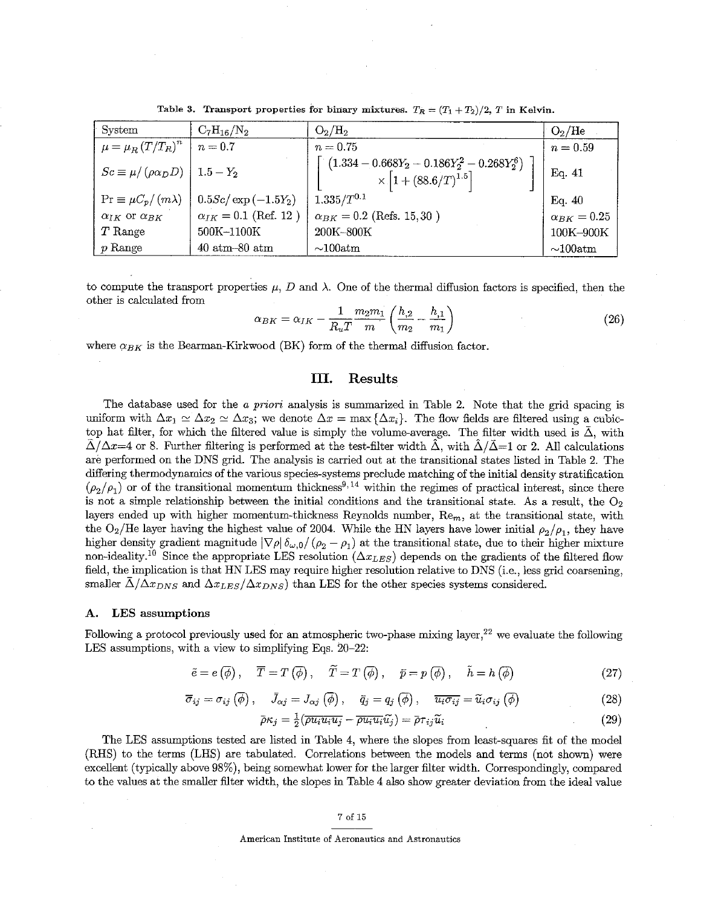| System                              | $\mathrm{C_7H_{16}/N_2}$      | $\rm O_2/H_2$                                                                            | $O_2$ /He            |
|-------------------------------------|-------------------------------|------------------------------------------------------------------------------------------|----------------------|
| $\mu = \mu_R (T/T_R)^n$             | $n=0.7$                       | $n = 0.75$                                                                               | $n=0.59$             |
| $Sc \equiv \mu / (\rho \alpha_D D)$ | $1.5 - Y_2$                   | $(1.334 - 0.668Y_2 - 0.186Y_2^2 - 0.268Y_2^6)$<br>$\times \left[1+(88.6/T)^{1.5}\right]$ | Eq. 41               |
| $Pr \equiv \mu C_p/(m\lambda)$      | $0.5Sc/\exp(-1.5Y_2)$         | $1.335/T^{0.1}$                                                                          | Eq. $40$             |
| $\alpha_{IK}$ or $\alpha_{BK}$      | $\alpha_{IK} = 0.1$ (Ref. 12) | $\alpha_{BK} = 0.2$ (Refs. 15,30)                                                        | $\alpha_{BK} = 0.25$ |
| T Range                             | 500K-1100K                    | 200K-800K                                                                                | 100K-900K            |
| $p$ Range                           | $40$ atm- $80$ atm            | $\sim$ 100atm                                                                            | $\sim$ 100atm        |

**Table 3. Transport properties for binary mixtures.**  $T_R = (T_1 + T_2)/2$ , *T* in Kelvin.

to compute the transport properties  $\mu$ , D and  $\lambda$ . One of the thermal diffusion factors is specified, then the other is calculated from

$$
\alpha_{BK} = \alpha_{IK} - \frac{1}{R_u T} \frac{m_2 m_1}{m} \left( \frac{h_{,2}}{m_2} - \frac{h_{,1}}{m_1} \right)
$$
 (26)

where  $\alpha_{BK}$  is the Bearman-Kirkwood (BK) form of the thermal diffusion factor.

## **111.** Results

The database used for the *a priori* analysis is summarized in Table 2. Note that the grid spacing is uniform with  $\Delta x_1 \simeq \Delta x_2 \simeq \Delta x_3$ ; we denote  $\Delta x = \max{\Delta x_i}$ . The flow fields are filtered using a cubictop hat filter, for which the filtered value is simply the volume-average. The filter width used is  $\bar{\Delta}$ , with  $\overline{\Delta}/\Delta x=4$  or 8. Further filtering is performed at the test-filter width  $\hat{\Delta}$ , with  $\hat{\Delta}/\overline{\Delta}=1$  or 2. All calculations are performed on the DNS grid. The analysis is carried out at the transitional states listed in Table 2. The differing thermodynamics of the various species-systems preclude matching of the initial density stratification  $(\rho_2/\rho_1)$  or of the transitional momentum thickness<sup>9,14</sup> within the regimes of practical interest, since there is not a simple relationship between the initial conditions and the transitional state. As a result, the  $O_2$ layers ended up with higher momentum-thickness Reynolds number,  $\text{Re}_m$ , at the transitional state, with the O<sub>2</sub>/He layer having the highest value of 2004. While the HN layers have lower initial  $\rho_2/\rho_1$ , they have higher density gradient magnitude  $|\nabla \rho| \delta_{\omega,0}/(\rho_2 - \rho_1)$  at the transitional state, due to their higher mixture non-ideality.<sup>10</sup> Since the appropriate LES resolution  $(\Delta x_{LES})$  depends on the gradients of the filtered flow field, the implication is that HN LES may require higher resolution relative to DNS (i.e., less grid coarsening, smaller  $\bar{\Delta}/\Delta x_{DNS}$  and  $\Delta x_{LES}/\Delta x_{DNS}$  than LES for the other species systems considered.

#### **A. LES assumptions**

Following a protocol previously used for an atmospheric two-phase mixing layer,<sup>22</sup> we evaluate the following LES assumptions, with a view to simplifying Eqs. 20-22: d for an atmospheric two-phase mixing layer,<sup>22</sup> we evaluate the following<br>
mplifying Eqs. 20-22:<br>  $\overline{f} = T(\overline{\phi})$ ,  $\tilde{T} = T(\overline{\phi})$ ,  $\tilde{p} = p(\overline{\phi})$ ,  $\tilde{h} = h(\overline{\phi})$  (27)<br>  $\overline{J}_{\alpha j} = J_{\alpha j}(\overline{\phi})$ ,  $\overline{q}_j = q_j(\overline{\phi})$ ,

$$
\tilde{e} = e(\overline{\phi}), \quad \overline{T} = T(\overline{\phi}), \quad \tilde{T} = T(\overline{\phi}), \quad \tilde{p} = p(\overline{\phi}), \quad \tilde{h} = h(\overline{\phi})
$$
\n
$$
\tilde{f}_{ij} = \sigma_{ij}(\overline{\phi}), \quad \tilde{f}_{i,j} = I_{i,j}(\overline{\phi}), \quad \tilde{g}_{i,j} = g_{i,j}(\overline{\phi}), \quad \overline{g_{ij}g_{ij}} = \tilde{g}_{i,j}g_{ij}(\overline{\phi})
$$
\n(27)

$$
\overline{\sigma}_{ij} = \sigma_{ij}(\overline{\phi}), \quad \overline{J}_{\alpha j} = J_{\alpha j}(\overline{\phi}), \quad \overline{q}_j = q_j(\overline{\phi}), \quad \overline{u_i \sigma_{ij}} = \widetilde{u}_i \sigma_{ij}(\overline{\phi})
$$
(28)

$$
\bar{\rho}\kappa_j = \frac{1}{2}(\overline{\rho u_i u_i u_j} - \overline{\rho u_i u_i} \tilde{u_j}) = \overline{\rho} \tau_{ij} \tilde{u_i}
$$
\n(29)

The LES assumptions tested are listed in Table 4, where the slopes from least-squares fit of the model (RHS) to the terms (LHS) are tabulated. Correlations between the models and terms (not shown) were excellent (typically above **98%),** being somewhat lower for the larger filter width. Correspondingly, compared to the values at the smaller filter width, the slopes in Table 4 also show greater deviation from the ideal value

#### 7 of 15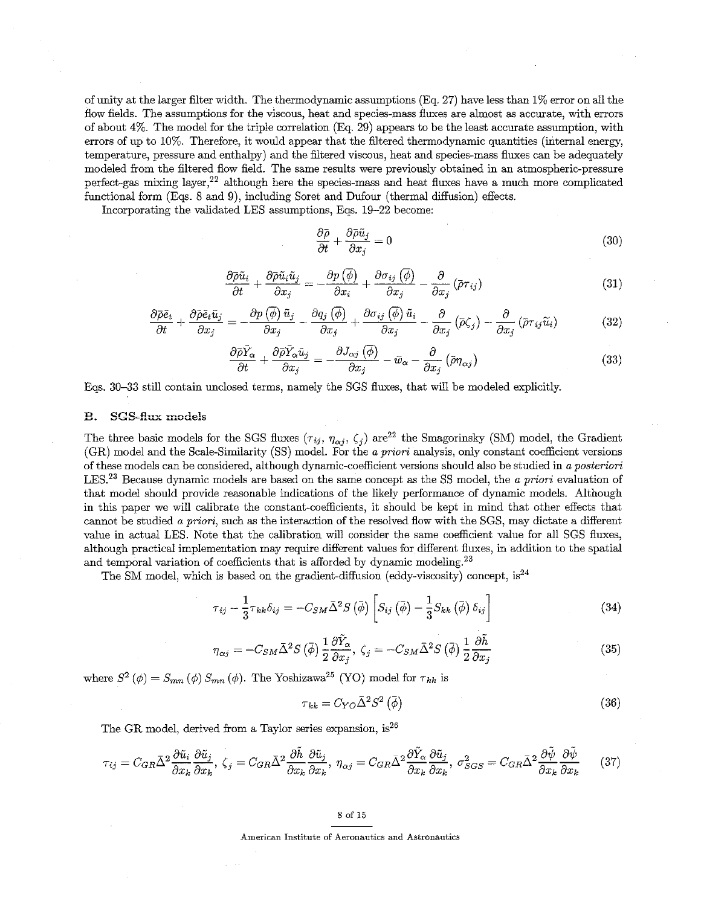of unity at the larger filter width. The thermodynamic assumptions (Eq. 27) have less than 1% error on all the flow fields. The assumptions for the viscous, heat and species-mass fluxes are almost as accurate, with errors of about 4%. The model for the triple correlation (Eq. 29) appears to be the least accurate assumption, with errors of up to 10%. Therefore, it would appear that the filtered thermodynamic quantities (internal energy, temperature, pressure and enthalpy) and the iiltered viscous, heat and species-mass fluxes can be adequately modeled from the filtered flow field. The same results were previously obtained in an atmospheric-pressure perfect-gas mixing layer,<sup>22</sup> although here the species-mass and heat fluxes have a much more complicated functional form (Eqs. 8 and 9), including Soret and Dufour (thermal diffusion) effects.

Incorporating the validated LES assumptions, Eqs. 19-22 become:

$$
\frac{\partial \bar{\rho}}{\partial t} + \frac{\partial \bar{\rho} \tilde{u}_j}{\partial x_j} = 0 \tag{30}
$$

$$
\frac{\partial \bar{\rho}\tilde{u}_i}{\partial t} + \frac{\partial \bar{\rho}\tilde{u}_i\tilde{u}_j}{\partial x_j} = -\frac{\partial p(\phi)}{\partial x_i} + \frac{\partial \sigma_{ij}(\phi)}{\partial x_j} - \frac{\partial}{\partial x_j}(\bar{\rho}\tau_{ij})
$$
(31)

$$
\frac{\partial \bar{\rho} \tilde{e}_t}{\partial t} + \frac{\partial \tilde{\rho} \tilde{e}_t \tilde{u}_j}{\partial x_j} = -\frac{\partial p(\bar{\phi}) \tilde{u}_j}{\partial x_j} - \frac{\partial q_j(\bar{\phi})}{\partial x_j} + \frac{\partial \sigma_{ij}(\bar{\phi}) \tilde{u}_i}{\partial x_j} - \frac{\partial}{\partial x_j} (\bar{\rho} \zeta_j) - \frac{\partial}{\partial x_j} (\bar{\rho} \tau_{ij} \tilde{u}_i)
$$
(32)

$$
\frac{\partial \bar{\rho}\tilde{Y}_{\alpha}}{\partial t} + \frac{\partial \bar{\rho}\tilde{Y}_{\alpha}\tilde{u}_{j}}{\partial x_{j}} = -\frac{\partial J_{\alpha j}(\bar{\phi})}{\partial x_{j}} - \bar{w}_{\alpha} - \frac{\partial}{\partial x_{j}}(\bar{\rho}\eta_{\alpha j})
$$
(33)

Eqs. **30-33** still contain unclosed terms, namely the SGS fluxes, that wiIl be modeled explicitly.

#### **B. SGS-flux models**

The three basic models for the SGS fluxes  $(\tau_{ij}, \eta_{\alpha j}, \zeta_j)$  are<sup>22</sup> the Smagorinsky (SM) model, the Gradient (GR) model and the Scale-Similarity (SS) model. For the a *priori* analysis, only constant coefficient versions of these models can be considered, although dynamic-coefficient versions should also be studied in a *posteriori*  LES.<sup>23</sup> Because dynamic models are based on the same concept as the SS model, the a *priori* evaluation of that model should provide reasonable indications of the likely performance of dynamic models. Although in this paper we will calibrate the constant-coefficients, it should be kept in mind that other effects that cannot be studied a *priori,* such *as* the interaction of the resolved flow with the SGS, may dictate a different value in actual LES. Note that the calibration will consider the same coefficient value for all SGS fluxes, although practical implementation may require different values for different fluxes, in addition to the spatial and temporal variation of coefficients that is afforded by dynamic modeling.<sup>23</sup>

The SM model, which is based on the gradient-diffusion (eddy-viscosity) concept,  $is^{24}$ 

$$
\tau_{ij} - \frac{1}{3} \tau_{kk} \delta_{ij} = -C_{SM} \bar{\Delta}^2 S \left( \bar{\phi} \right) \left[ S_{ij} \left( \bar{\phi} \right) - \frac{1}{3} S_{kk} \left( \bar{\phi} \right) \delta_{ij} \right]
$$
\n(34)

$$
\eta_{\alpha j} = -C_{SM} \bar{\Delta}^2 S\left(\vec{\phi}\right) \frac{1}{2} \frac{\partial \tilde{Y}_{\alpha}}{\partial x_j}, \ \zeta_j = -C_{SM} \bar{\Delta}^2 S\left(\vec{\phi}\right) \frac{1}{2} \frac{\partial \tilde{h}}{\partial x_j}
$$
(35)

where  $S^2$  ( $\phi$ ) =  $S_{mn}$  ( $\phi$ )  $S_{mn}$  ( $\phi$ ). The Yoshizawa<sup>25</sup> (YO) model for  $\tau_{kk}$  is

$$
\tau_{kk} = C_{YO} \bar{\Delta}^2 S^2 (\bar{\phi}) \tag{36}
$$

The GR model, derived from a Taylor series expansion,  $is^{26}$ 

$$
\tau_{ij} = C_{GR} \bar{\Delta}^2 \frac{\partial \tilde{u}_i}{\partial x_k} \frac{\partial \tilde{u}_j}{\partial x_k}, \ \zeta_j = C_{GR} \bar{\Delta}^2 \frac{\partial \tilde{h}}{\partial x_k} \frac{\partial \tilde{u}_j}{\partial x_k}, \ \eta_{\alpha j} = C_{GR} \bar{\Delta}^2 \frac{\partial \tilde{Y}_{\alpha}}{\partial x_k} \frac{\partial \tilde{u}_j}{\partial x_k}, \ \sigma_{SGS}^2 = C_{GR} \bar{\Delta}^2 \frac{\partial \tilde{\psi}}{\partial x_k} \frac{\partial \tilde{\psi}}{\partial x_k}
$$
(37)

#### 8 of 15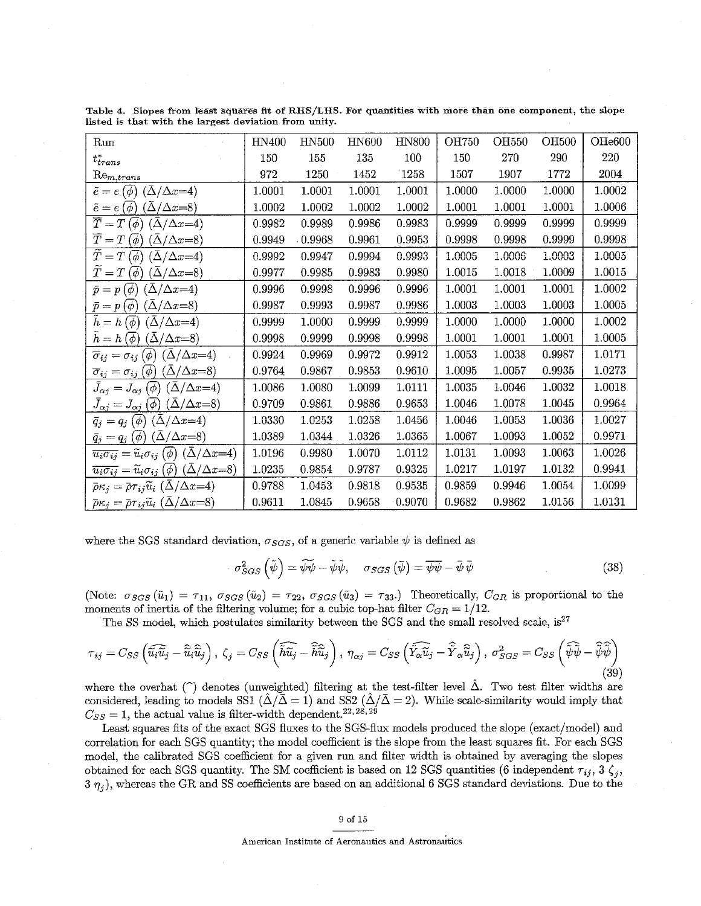| Run                                                                                     | HN400  | <b>HN500</b> | <b>HN600</b> | <b>HN800</b> | OH750  | OH550  | <b>OH500</b> | OHe600 |
|-----------------------------------------------------------------------------------------|--------|--------------|--------------|--------------|--------|--------|--------------|--------|
| $t_{trans}^*$                                                                           | 150    | 155          | 135          | 100          | 150    | 270    | 290          | 220    |
| ${\rm Re}_{m, trans}$                                                                   | 972    | 1250         | 1452         | 1258         | 1507   | 1907   | 1772         | 2004   |
| $\tilde{e} = e(\phi) (\bar{\Delta}/\Delta x=4)$                                         | 1.0001 | 1.0001       | 1.0001       | 1.0001       | 1.0000 | 1.0000 | 1.0000       | 1.0002 |
| $(\bar{\Delta}/\Delta x=8)$<br>$\tilde{e}=e\left(\phi\right)$                           | 1.0002 | 1.0002       | 1.0002       | 1.0002       | 1.0001 | 1.0001 | 1.0001       | 1.0006 |
| $\overline{T}=T\left(\overline{\phi}\right)$<br>$(\bar{\Delta}/\Delta x=4)$             | 0.9982 | 0.9989       | 0.9986       | 0.9983       | 0.9999 | 0.9999 | 0.9999       | 0.9999 |
| $\overline{T}=T\left(\phi\right)$<br>$(\bar{\Delta}/\Delta x=8)$                        | 0.9949 | .0.9968      | 0.9961       | 0.9953       | 0.9998 | 0.9998 | 0.9999       | 0.9998 |
| $\tilde{T}=T(\phi)$<br>$(\bar{\Delta}/\Delta x=4)$                                      | 0.9992 | 0.9947       | 0.9994       | 0.9993       | 1.0005 | 1.0006 | 1.0003       | 1.0005 |
| $\tilde{T}=T(\phi)$<br>$(\bar{\Delta}/\Delta x=8)$                                      | 0.9977 | 0.9985       | 0.9983       | 0.9980       | 1.0015 | 1.0018 | 1.0009       | 1.0015 |
| $(\bar{\Delta}/\Delta x=4)$<br>$\bar{p} = p(\phi)$                                      | 0.9996 | 0.9998       | 0.9996       | 0.9996       | 1.0001 | 1.0001 | 1.0001       | 1.0002 |
| $(\bar{\Delta}/\Delta x=8)$<br>$\bar{p} = p(\phi)$                                      | 0.9987 | 0.9993       | 0.9987       | 0.9986       | 1.0003 | 1.0003 | 1.0003       | 1.0005 |
| $h = h(\phi)$ $(\Delta/\Delta x=4)$                                                     | 0.9999 | 1.0000       | 0.9999       | 0.9999       | 1.0000 | 1.0000 | 1.0000       | 1.0002 |
| $(\bar{\Delta}/\Delta x=8)$<br>$h = h(\phi)$                                            | 0.9998 | 0.9999       | 0.9998       | 0.9998       | 1.0001 | 1.0001 | 1.0001       | 1.0005 |
| $(\bar{\Delta}/\Delta x=4)$<br>$\overline{\sigma}_{ij}=\sigma_{ij}\left(\phi\right)$    | 0.9924 | 0.9969       | 0.9972       | 0.9912       | 1.0053 | 1.0038 | 0.9987       | 1.0171 |
| $(\bar{\Delta}/\Delta x=8)$<br>$\overline{\sigma}_{ij}=\sigma_{ij}\left(\phi\right)$    | 0.9764 | 0.9867       | 0.9853       | 0.9610       | 1.0095 | 1.0057 | 0.9935       | 1.0273 |
| $J_{\alpha j} = J_{\alpha j} (\overline{\phi}) (\overline{\Delta}/\Delta x = 4)$        | 1.0086 | 1.0080       | 1.0099       | 1.0111       | 1.0035 | 1.0046 | 1.0032       | 1.0018 |
| $J_{\alpha j} = J_{\alpha j} (\phi) (\Delta/\Delta x = 8)$                              | 0.9709 | 0.9861       | 0.9886       | 0.9653       | 1.0046 | 1.0078 | 1.0045       | 0.9964 |
| $\bar{q}_j = q_j \left(\phi\right) \left(\bar{\Delta}/\Delta x = 4\right)$              | 1.0330 | 1.0253       | 1.0258       | 1.0456       | 1.0046 | 1.0053 | 1.0036       | 1.0027 |
| $(\bar{\Delta}/\Delta x=8)$<br>$\bar{q}_j = q_j(\phi)$                                  | 1.0389 | 1.0344       | 1.0326       | 1.0365       | 1.0067 | 1.0093 | 1.0052       | 0.9971 |
| $\overline{u_i \sigma_{ij}} = \widetilde{u}_i \sigma_{ij} (\phi) (\Delta/\Delta x = 4)$ | 1.0196 | 0.9980       | 1.0070       | 1.0112       | 1.0131 | 1.0093 | 1.0063       | 1.0026 |
| $\overline{u_i \sigma_{ij}} = \widetilde{u}_i \sigma_{ij} (\phi) (\Delta/\Delta x=8)$   | 1.0235 | 0.9854       | 0.9787       | 0.9325       | 1.0217 | 1.0197 | 1.0132       | 0.9941 |
| $\bar{\rho}\kappa_j = \bar{\rho}\tau_{ij}\tilde{u}_i \; (\bar{\Delta}/\Delta x=4)$      | 0.9788 | 1.0453       | 0.9818       | 0.9535       | 0.9859 | 0.9946 | 1.0054       | 1.0099 |
| $\bar{\rho}\kappa_j = \bar{\rho}\tau_{ij}\tilde{u}_i \; (\bar{\Delta}/\Delta x=8)$      | 0.9611 | 1.0845       | 0.9658       | 0.9070       | 0.9682 | 0.9862 | 1.0156       | 1.0131 |

**Table 4. Slopes from least squares fit of RHS/LHS. For quantities with more than one component, the slope listed is that with the largest deviation from unity.** 

where the SGS standard deviation,  $\sigma_{SGS}$ , of a generic variable  $\psi$  is defined as

$$
\sigma_{SGS}^2(\tilde{\psi}) = \tilde{\psi}\tilde{\psi} - \tilde{\psi}\tilde{\psi}, \quad \sigma_{SGS}(\tilde{\psi}) = \overline{\psi}\tilde{\psi} - \tilde{\psi}\tilde{\psi}
$$
 (38)

(Note:  $\sigma_{SGS}(\tilde{u}_1) = \tau_{11}, \sigma_{SGS}(\tilde{u}_2) = \tau_{22}, \sigma_{SGS}(\tilde{u}_3) = \tau_{33}$ .) Theoretically,  $C_{GR}$  is proportional to the moments of inertia of the filtering volume; for a cubic top-hat filter  $C_{GR} = 1/12$ .

The SS model, which postulates similarity between the SGS and the small resolved scale, is<sup>27</sup>  
\n
$$
\tau_{ij} = C_{SS} \left( \widehat{\tilde{u}_i \tilde{u}_j} - \widehat{\tilde{u}}_i \widehat{\tilde{u}}_j \right), \zeta_j = C_{SS} \left( \widehat{\tilde{h} \tilde{u}_j} - \widehat{\tilde{h}}_i \widehat{\tilde{u}}_j \right), \eta_{\alpha j} = C_{SS} \left( \widehat{\tilde{Y}}_{\alpha} \widehat{\tilde{u}}_j - \widehat{\tilde{Y}}_{\alpha} \widehat{\tilde{u}}_j \right), \sigma_{SGS}^2 = C_{SS} \left( \widehat{\tilde{\psi} \psi} - \widehat{\tilde{\psi} \psi} \right)
$$
\n(39)

where the overhat ( $\hat{\ }$ ) denotes (unweighted) filtering at the test-filter level  $\hat{\Delta}$ . Two test filter widths are considered, leading to models SS1  $(\hat{\Delta}/\overline{\Delta} = 1)$  and SS2  $(\hat{\Delta}/\overline{\Delta} = 2)$ . While scale-similarity would imply that  $C_{SS} = 1$ , the actual value is filter-width dependent.<sup>22, 28</sup>, <sup>29</sup>

Least squares fits of the exact SGS fluxes to the SGS-flux rnodels produced the slope (exact/model) and correlation for each SGS quantity; the model coefficient is the slope from the least squares fit. For each SGS model, the calibrated SGS coefficient for a given run and filter width is obtained by averaging the slopes obtained for each SGS quantity. The SM coefficient is based on 12 SGS quantities (6 independent  $\tau_{ij}$ ,  $3 \zeta_j$ ,  $3 \eta_i$ , whereas the GR and SS coefficients are based on an additional 6 SGS standard deviations. Due to the

### 9 of 15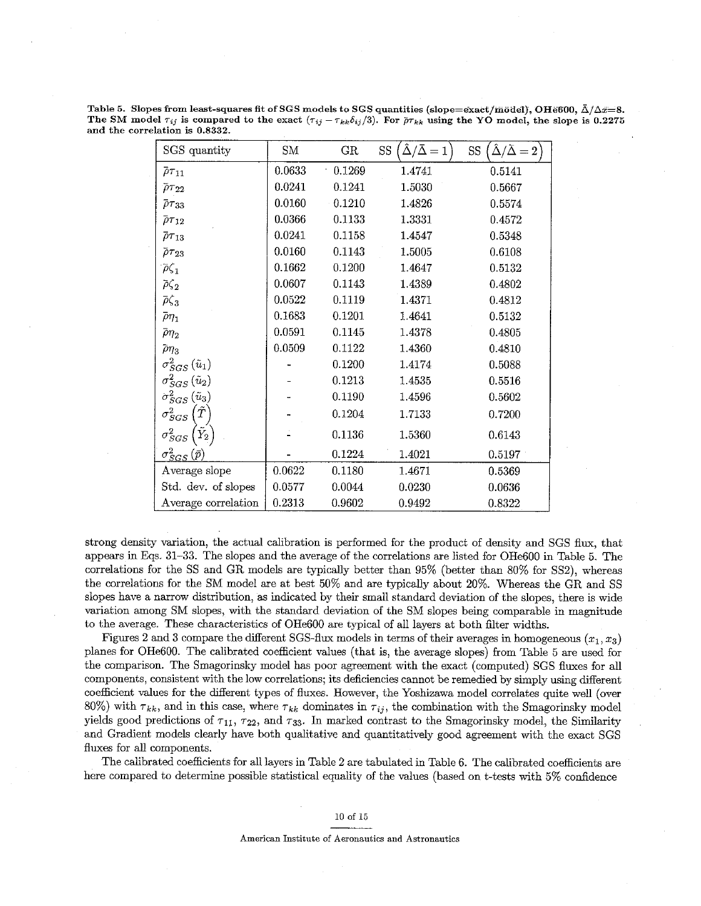**Table 5.** Slopes from least-squares fit of SGS models to SGS quantities (slope=exact/model),  $OHe600$ ,  $\bar{\Lambda}/\Delta x=8$ . The SM model  $\tau_{ij}$  is compared to the exact  $(\tau_{ij} - \tau_{kk}\delta_{ij}/3)$ . For  $\bar{\rho}\tau_{kk}$  using the YO model, the slope is 0.2275 **and the correlation is 0.8332.** 

| SGS quantity                                 | SM     | <b>GR</b> | $\hat{\Delta}/\bar{\Delta}=1$<br>SS | $\hat{\Delta}/\bar{\Delta}=2$<br>SS |
|----------------------------------------------|--------|-----------|-------------------------------------|-------------------------------------|
| $\bar\rho\tau_{11}$                          | 0.0633 | 0.1269    | 1.4741                              | 0.5141                              |
| $\bar{\rho} \tau_{22}$                       | 0.0241 | 0.1241    | 1.5030                              | 0.5667                              |
| $\bar{\rho}\tau_{33}$                        | 0.0160 | 0.1210    | 1.4826                              | 0.5574                              |
| $\bar{\rho}\tau_{12}$                        | 0.0366 | 0.1133    | 1.3331                              | 0.4572                              |
| $\bar\rho\tau_{13}$                          | 0.0241 | 0.1158    | 1.4547                              | 0.5348                              |
| $\bar{\rho} \tau_{23}$                       | 0.0160 | 0.1143    | 1.5005                              | 0.6108                              |
| $\bar{\rho}\zeta_1$                          | 0.1662 | 0.1200    | 1.4647                              | 0.5132                              |
| $\bar{\rho}\zeta_2$                          | 0.0607 | 0.1143    | 1.4389                              | 0.4802                              |
| $\bar{\rho}\zeta_3$                          | 0.0522 | 0.1119    | 1.4371                              | 0.4812                              |
| $\bar{\rho}\eta_1$                           | 0.1683 | 0.1201    | 1.4641                              | 0.5132                              |
| $\bar\rho\eta_2$                             | 0.0591 | 0.1145    | 1.4378                              | 0.4805                              |
| $\bar{\rho}\eta_3$                           | 0.0509 | 0.1122    | 1.4360                              | 0.4810                              |
| $\sigma_{SGS}^2(\tilde u_1)$                 |        | 0.1200    | 1.4174                              | 0.5088                              |
| $\sigma_{SGS}^{2}\left(\tilde{u}_{2}\right)$ |        | 0.1213    | 1.4535                              | 0.5516                              |
| $\sigma_{SGS}^2\left(\tilde{u}_{3}\right)$   |        | 0.1190    | 1.4596                              | 0.5602                              |
| $\sigma_{SGS}^2\left(\tilde{T}\right)$       |        | 0.1204    | 1.7133                              | 0.7200                              |
| $\sigma_{SGS}^2\left(\tilde{Y}_2\right)$     |        | 0.1136    | 1.5360                              | 0.6143                              |
| $\sigma^2_{SGS}\left(\bar{p}\right)$         |        | 0.1224    | 1.4021                              | 0.5197                              |
| Average slope                                | 0.0622 | 0.1180    | 1.4671                              | 0.5369                              |
| Std. dev. of slopes                          | 0.0577 | 0.0044    | 0.0230                              | 0.0636                              |
| Average correlation                          | 0.2313 | 0.9602    | 0.9492                              | 0.8322                              |

strong density variation, the actual calibration is performed for the product of density and SGS flux, that appears in Eqs. 31-33. The slopes and the average of the correlations are listed for OHe600 in Table 5. The correlations for the SS and GR models are typically better than 95% (better than 80% for SS2), whereas the correlations for the SM model are at best 50% and are typically about 20%. Whereas the GR and SS slopes have a narrow distribution, as indicated by their small standard deviation of the slopes, there is wide variation among SM slopes, with the standard deviation of the SM slopes being comparable in magnitude to the average. These characteristics of OHe600 are typical of all layers at both filter widths.

Figures 2 and 3 compare the different SGS-flux models in terms of their averages in homogeneous  $(x_1, x_3)$ planes for OHe600. The calibrated coefficient values (that is, the average slopes) from Table 5 are used for the comparison. The Smagorinsky model has poor agreement with the exact (computed) SGS fluxes for all components, consistent with the low correlations; its deficiencies cannot be remedied by simply using different coefficient values for the different types of fluxes. However, the Yoshizawa model correlates quite well (over 80%) with  $\tau_{kk}$ , and in this case, where  $\tau_{kk}$  dominates in  $\tau_{ij}$ , the combination with the Smagorinsky model yields good predictions of  $\tau_{11}$ ,  $\tau_{22}$ , and  $\tau_{33}$ . In marked contrast to the Smagorinsky model, the Similarity and Gradient models clearly have both qualitative and quantitatively good agreement with the exact SGS fluxes for all components.

The calibrated coefficients for all layers in Table 2 are tabulated in Table 6. The calibrated coefficients are here compared to determine possible statistical equality of the values (based on t-tests with 5% confidence

#### 10 **of 15**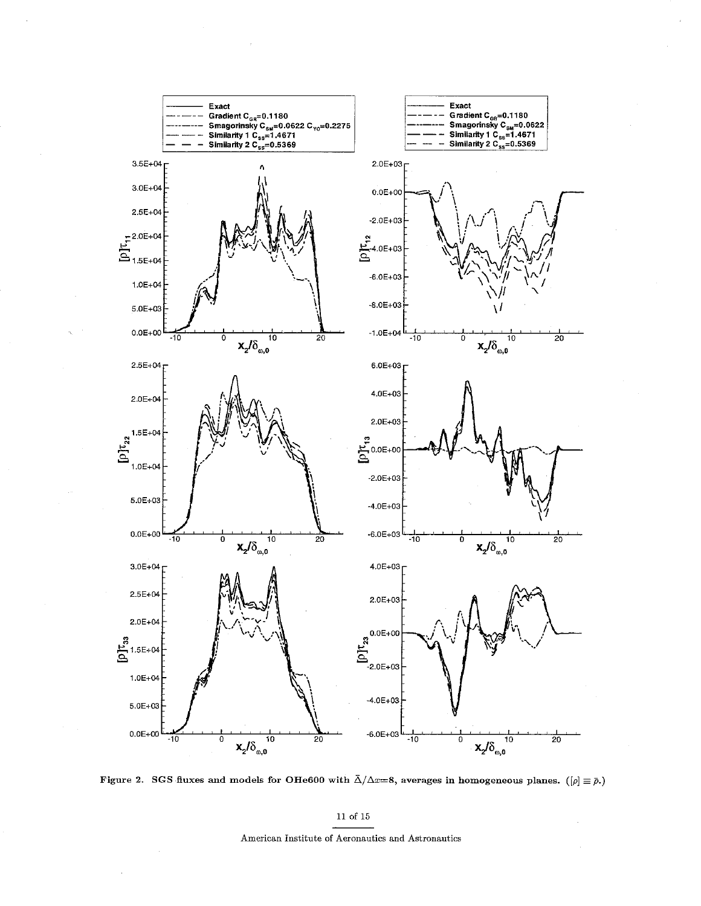

**Figure 2. SGS fluxes and models for OHe600 with**  $\bar{\Delta}/\Delta x=8$ **, averages in homogeneous planes.**  $([\rho] \equiv \bar{\rho}.)$ 

## $11$  of  $15\,$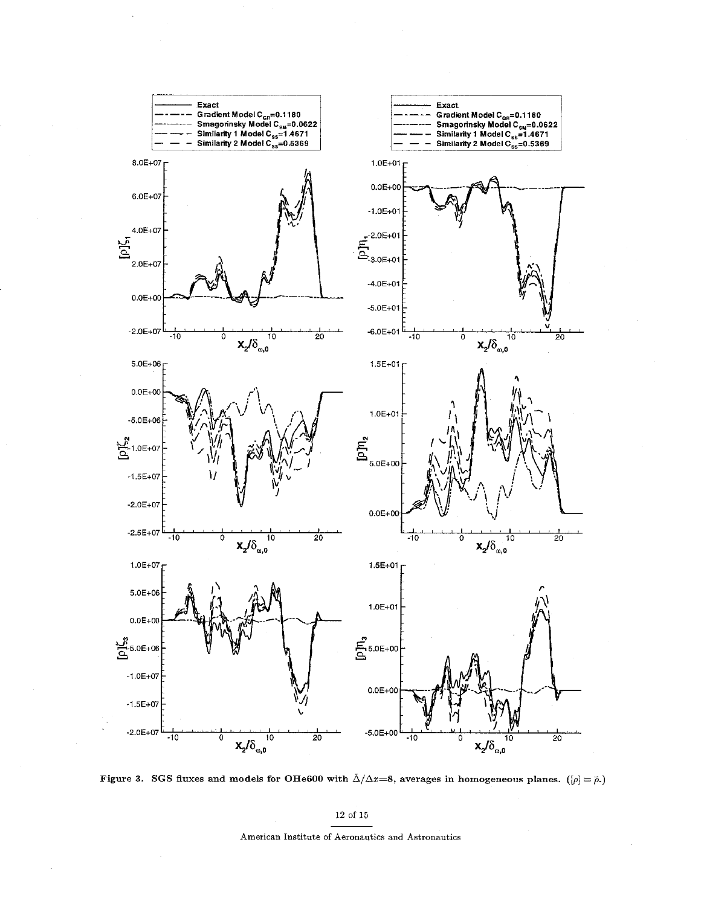

**Figure 3.** SGS fluxes and models for OHe600 with  $\bar{\Delta}/\Delta x=8$ , averages in homogeneous planes. ( $[\rho] \equiv \bar{\rho}$ .)

## **12** of 15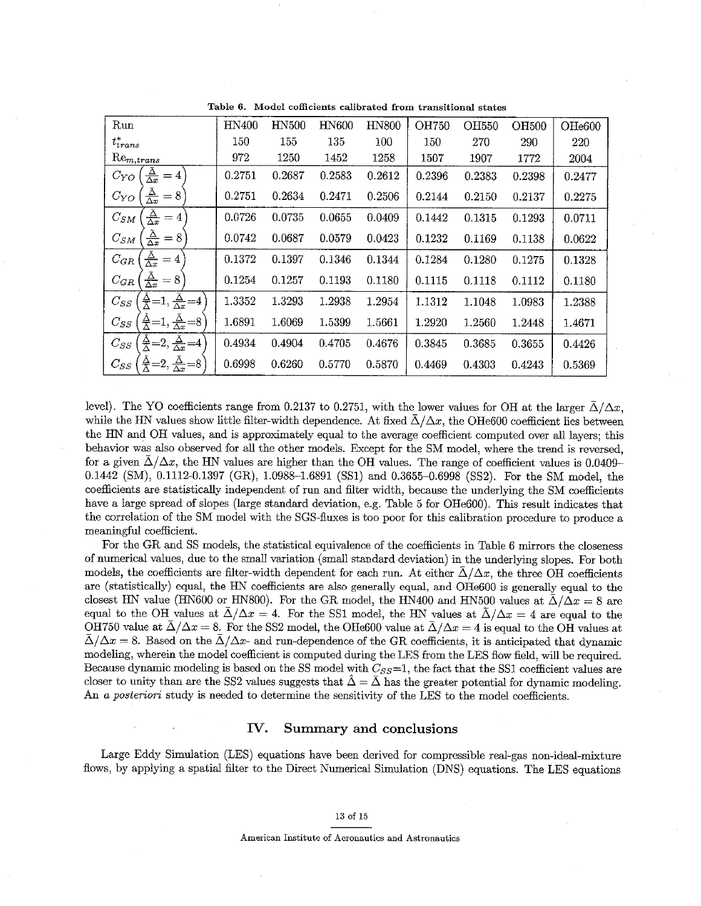| Run                                                                       | <b>HN400</b> | <b>HN500</b> | HN600  | <b>HN800</b> | <b>OH750</b> | OH550  | <b>OH500</b> | OHe600 |
|---------------------------------------------------------------------------|--------------|--------------|--------|--------------|--------------|--------|--------------|--------|
| $t_{trans}^*$                                                             | 150          | 155          | 135    | 100          | 150          | 270    | 290          | 220    |
| ${\rm Re}_{m, trans}$                                                     | 972          | 1250         | 1452   | 1258         | 1507         | 1907   | 1772         | 2004   |
| $\frac{\Delta}{\Delta x}$<br>$C_{YO}$<br>$=4$                             | 0.2751       | 0.2687       | 0.2583 | 0.2612       | 0.2396       | 0.2383 | 0.2398       | 0.2477 |
| $\frac{\Delta}{\Delta x}$<br>$C_{YO}$<br>$= 8$                            | 0.2751       | 0.2634       | 0.2471 | 0.2506       | 0.2144       | 0.2150 | 0.2137       | 0.2275 |
| $\frac{\Delta}{\Delta x}$<br>$C_{SM}$<br>$=4$                             | 0.0726       | 0.0735       | 0.0655 | 0.0409       | 0.1442       | 0.1315 | 0.1293       | 0.0711 |
| $\frac{\Delta}{\Delta x}$<br>$C_{SM}$<br>$= 8$                            | 0.0742       | 0.0687       | 0.0579 | 0.0423       | 0.1232       | 0.1169 | 0.1138       | 0.0622 |
| $\frac{\bar{\Delta}}{\Delta x}$<br>$C_{GR}$<br>$=4$                       | 0.1372       | 0.1397       | 0.1346 | 0.1344       | 0.1284       | 0.1280 | 0.1275       | 0.1328 |
| $\frac{\Delta}{\Delta x}$<br>$= 8$<br>$C_{GR}$                            | 0.1254       | 0.1257       | 0.1193 | 0.1180       | 0.1115       | 0.1118 | 0.1112       | 0.1180 |
| $\frac{\Delta}{\Delta}=1, \frac{\Delta}{\Delta x}=4$<br>$C_{SS}$          | 1.3352       | 1.3293       | 1.2938 | 1.2954       | 1.1312       | 1.1048 | 1.0983       | 1.2388 |
| $\frac{\Delta}{\Delta}=1, \frac{\Delta}{\Delta x}=8$<br>$C_{SS}$          | 1.6891       | 1.6069       | 1.5399 | 1.5661       | 1.2920       | 1.2560 | 1.2448       | 1.4671 |
| $\frac{\Delta}{\Delta}=2, \frac{\Delta}{\Delta x}=4$<br>$C_{SS}$          | 0.4934       | 0.4904       | 0.4705 | 0.4676       | 0.3845       | 0.3685 | 0.3655       | 0.4426 |
| $\frac{\Delta}{\Delta} = 2,$<br>$\frac{\Delta}{\Delta x} = 8$<br>$C_{SS}$ | 0.6998       | 0.6260       | 0.5770 | 0.5870       | 0.4469       | 0.4303 | 0.4243       | 0.5369 |

**Table 6. Model cofficients calibrated from transitional states** 

level). The YO coefficients range from 0.2137 to 0.2751, with the lower values for OH at the larger  $\bar{\Delta}/\Delta x$ , while the HN values show little filter-width dependence. At fixed  $\bar{\Delta}/\Delta x$ , the OHe600 coefficient lies between the HN and OH values, and is approximately equal to the average coefficient computed over all layers; this behavior was also observed for all the other models. Except for the SM model, where the trend is reversed, for a given  $\Delta/\Delta x$ , the HN values are higher than the OH values. The range of coefficient values is 0.0409-0.1442 (SM), 0.1112-0.1397 (GR), 1.0988-1.6891 (SS1) and 0.3655-0.6998 (SS2). For the SM model, the coefficients are statistically independent of run and filter width, because the underlying the SM coefficients have a large spread of slopes (large standard deviation, e.g. Table 5 for OHe600). This result indicates that the correlation of the SM model with the SGS-fluxes is too poor for this calibration procedure to produce a meaningful coefficient.

For the GR and SS models, the statistical equivalence of the coefficients in Table 6 mirrors the closeness of numerical values, due to the small variation (small standard deviation) in the underlying slopes. For both models, the coefficients are filter-width dependent for each run. At either  $\bar{\Delta}/\Delta x$ , the three OH coefficients are (statistically) equal, the HN coefficients are also generally equal, and OHe600 is generally equal to the closest HN value (HN600 or HN800). For the GR model, the HN400 and HN500 values at  $\bar{\Delta}/\Delta x = 8$  are equal to the OH values at  $\bar{\Delta}/\Delta x = 4$ . For the SS1 model, the HN values at  $\bar{\Delta}/\Delta x = 4$  are equal to the OH750 value at  $\bar{\Delta}/\Delta x = 8$ . For the SS2 model, the OHe600 value at  $\bar{\Delta}/\Delta x = 4$  is equal to the OH values at  $\bar{\Delta}/\Delta x = 8$ . Based on the  $\bar{\Delta}/\Delta x$ - and run-dependence of the GR coefficients, it is anticipated that dynamic modeling, wherein the model coefficient is computed during the LES from the LES flow field, will be required. Because dynamic modeling is based on the SS model with  $C_{SS}=1$ , the fact that the SS1 coefficient values are closer to unity than are the SS2 values suggests that  $\hat{\Delta} = \bar{\Delta}$  has the greater potential for dynamic modeling. An *a posteriori* study is needed to determine the sensitivity of the LES to the model coefficients.

#### IV. Summary **and** conclusions

Large Eddy Simulation (LES) equations have been derived for compressible real-gas non-ideal-mixture flows, by applying a spatial filter to the Direct Numerical Simulation (DNS) equations. The LES equations

## 13 of 15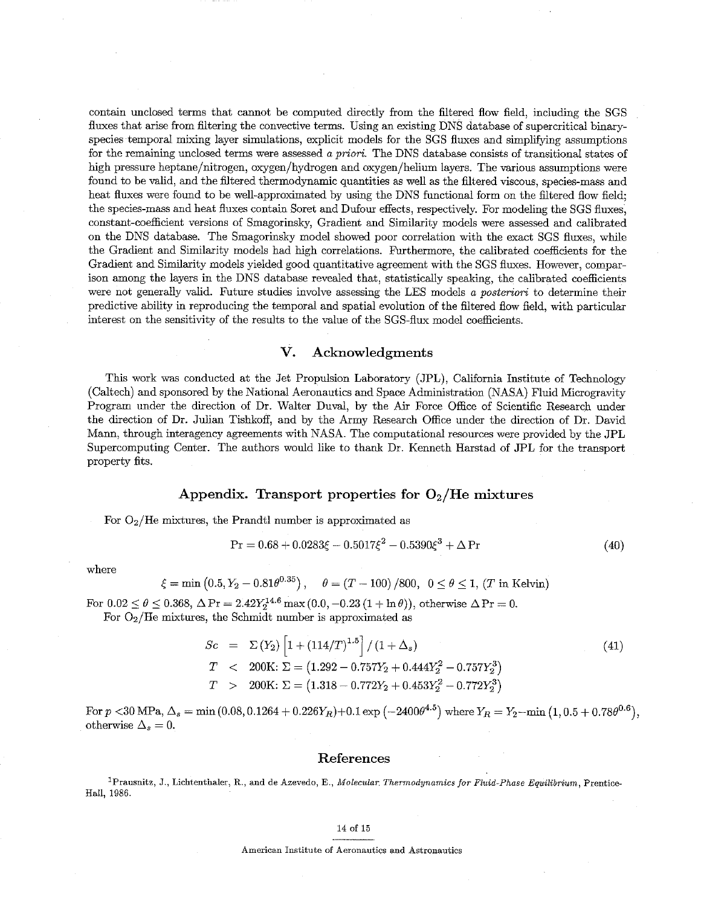contain unclosed terms that cannot be computed directly from the filtered flow field, including the SGS fluxes that arise from filtering the convective terms. Using an existing DNS database of supercritical binaryspecies temporal mixing layer simulations, explicit models for the SGS fluxes and simplifying assumptions for the remaining unclosed terms were assessed a *priori.* The DNS database consists of transitiona1 states of high pressure heptane/nitrogen, oxygen/hydrogen and oxygen/helium layers. The various assumptions were found to be valid, and the filtered thermodynamic quantities as well as the filtered viscous, species-mass and heat fluxes were found to be well-approximated by using the DNS functional form on the fltered flow field; the species-mass and heat fluxes contain Soret and Dufour effects, respectively. For modeling the SGS fluxes, constant-coefficient versions of Smagorinsky, Gradient and Similarity models were assessed and calibrated on the DNS database. The Smagorinsky model showed poor correlation with the exact SGS fluxes, while the Gradient and Similarity models had high correlations. Furthermore, the calibrated coefficients for the Gradient and Similarity models yielded good quantitative agreement with the SGS fluxes. However, comparison among the layers in the DNS database revealed that, statisticalIy speaking, the calibrated coefficients were not generally valid. Future studies involve assessing the LES models *a posteriori* to determine their predictive ability in reproducing the temporal and spatial evolution of the filtered Bow field, with particular interest on the sensitivity of the results to the value of the SGS-flux model coefficients.

## **V. Acknowledgments**

This work was conducted at the Jet Propulsion Laboratory (JPL), California Institute of Technology (Caltech) and sponsored by the National Aeronautics and Space Administration (NASA) Fluid Microgravity Program under the direction of Dr. Walter Duval, by the Air Force Office of Scientific Research under the direction of Dr. Julian Tishkoff, and by the Army Research Office under the direction of Dr. David Mam, through interagency agreements with NASA. The computational resources were provided by the JPL Supercomputing Center. The authors would like to thank Dr. Kenneth Harstad of JPL for the transport property fits.

## Appendix. Transport properties for  $O_2$ /He mixtures

For  $O_2$ /He mixtures, the Prandtl number is approximated as

$$
Pr = 0.68 + 0.0283\xi - 0.5017\xi^{2} - 0.5390\xi^{3} + \Delta Pr
$$
\n(40)

where

$$
\xi = \min (0.5, Y_2 - 0.81 \theta^{0.35}), \quad \theta = (T - 100) / 800, \ 0 \le \theta \le 1, (T \text{ in Kelvin})
$$

For  $0.02 \le \theta \le 0.368$ ,  $\Delta \text{Pr} = 2.42 Y_2^{14.6} \text{max} (0.0, -0.23 (1 + \ln \theta))$ , otherwise  $\Delta \text{Pr} = 0$ .

For Oz/He mixtures, the Schmidt number is approximated **as** 

$$
Sc = \Sigma(Y_2) \left[ 1 + (114/T)^{1.5} \right] / (1 + \Delta_s)
$$
  
\n
$$
T < 200 \text{K: } \Sigma = (1.292 - 0.757Y_2 + 0.444Y_2^2 - 0.757Y_2^3)
$$
  
\n
$$
T > 200 \text{K: } \Sigma = (1.318 - 0.772Y_2 + 0.453Y_2^2 - 0.772Y_2^3)
$$
\n(41)

For  $p < 30$  MPa,  $\Delta_s = \min(0.08, 0.1264 + 0.226Y_R) + 0.1 \exp(-2400\theta^{4.5})$  where  $Y_R = Y_2 - \min(1, 0.5 + 0.78\theta^{0.6})$ , otherwise  $\Delta_s = 0$ .

## **References**

<sup>1</sup> Prausnitz, J., Lichtenthaler, R., and de Azevedo, E., Molecular Thermodynamics for Fluid-Phase Equilibrium, Prentice-*Hall, 1986.* 

#### 14 of 15